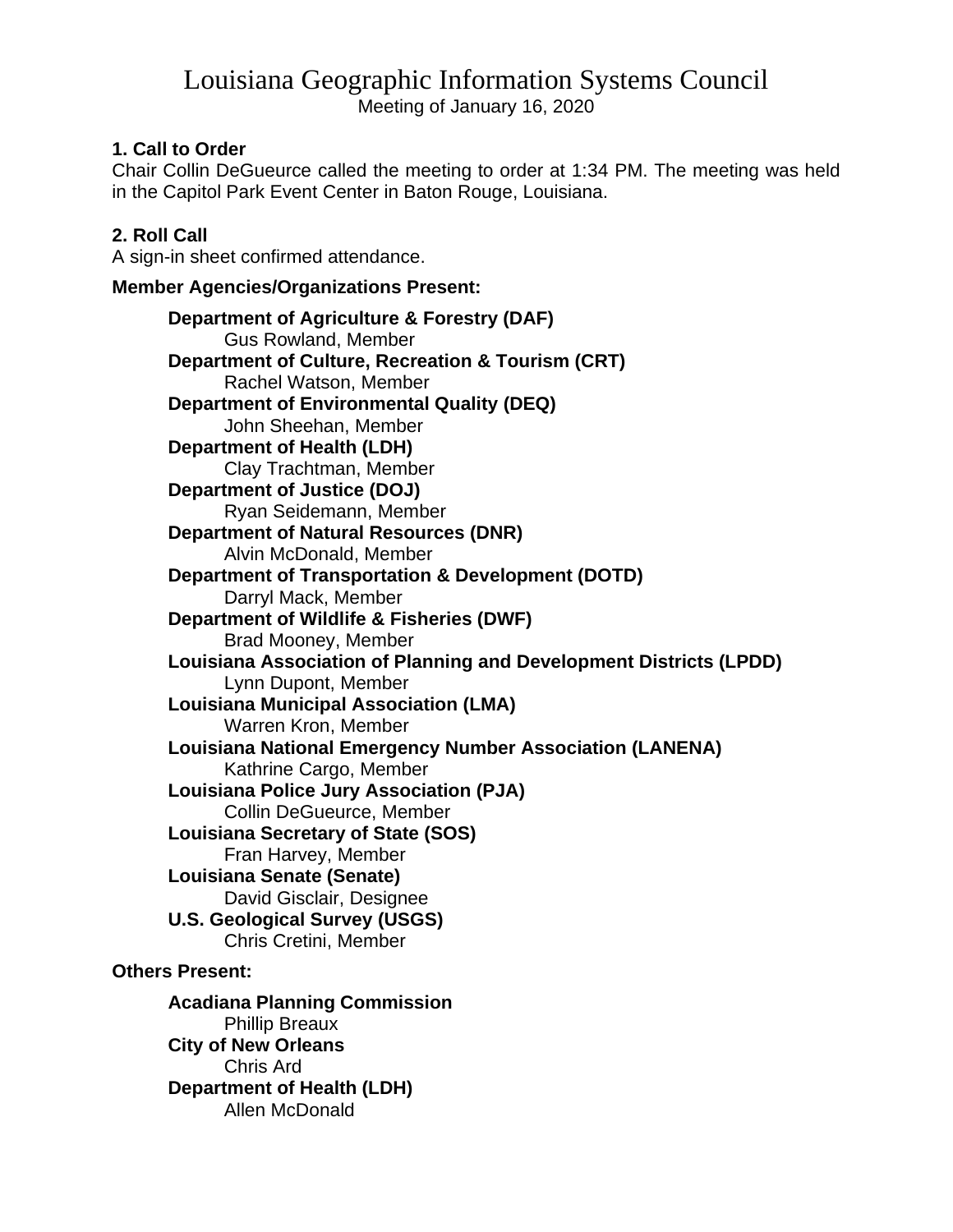# Louisiana Geographic Information Systems Council

Meeting of January 16, 2020

## **1. Call to Order**

Chair Collin DeGueurce called the meeting to order at 1:34 PM. The meeting was held in the Capitol Park Event Center in Baton Rouge, Louisiana.

# **2. Roll Call**

A sign-in sheet confirmed attendance.

## **Member Agencies/Organizations Present:**

**Department of Agriculture & Forestry (DAF)** Gus Rowland, Member **Department of Culture, Recreation & Tourism (CRT)** Rachel Watson, Member **Department of Environmental Quality (DEQ)** John Sheehan, Member **Department of Health (LDH)** Clay Trachtman, Member **Department of Justice (DOJ)** Ryan Seidemann, Member **Department of Natural Resources (DNR)** Alvin McDonald, Member **Department of Transportation & Development (DOTD)** Darryl Mack, Member **Department of Wildlife & Fisheries (DWF)** Brad Mooney, Member **Louisiana Association of Planning and Development Districts (LPDD)** Lynn Dupont, Member **Louisiana Municipal Association (LMA)** Warren Kron, Member **Louisiana National Emergency Number Association (LANENA)** Kathrine Cargo, Member **Louisiana Police Jury Association (PJA)** Collin DeGueurce, Member **Louisiana Secretary of State (SOS)** Fran Harvey, Member **Louisiana Senate (Senate)** David Gisclair, Designee **U.S. Geological Survey (USGS)** Chris Cretini, Member **Others Present:**

**Acadiana Planning Commission** Phillip Breaux **City of New Orleans** Chris Ard **Department of Health (LDH)** Allen McDonald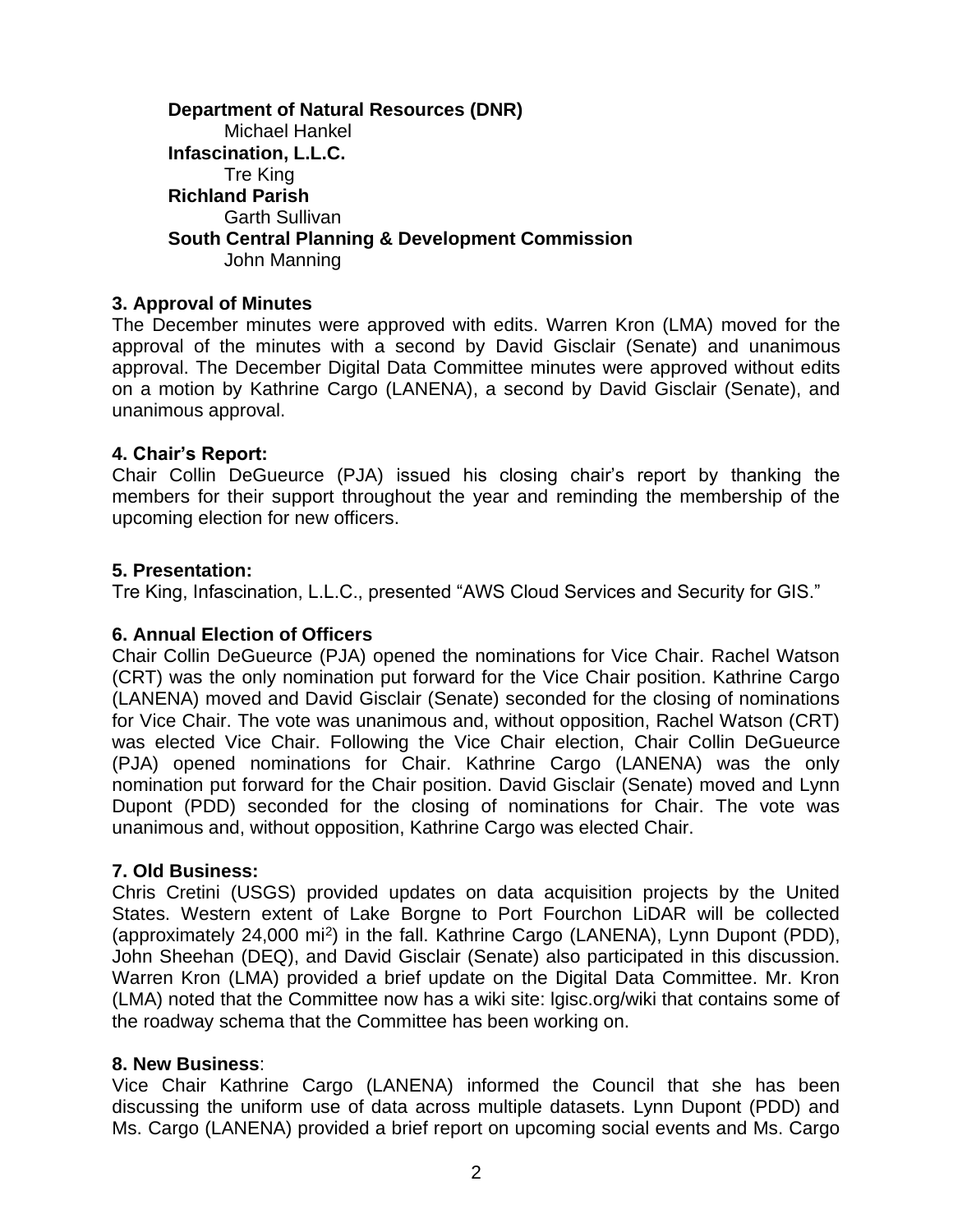#### **Department of Natural Resources (DNR)** Michael Hankel **Infascination, L.L.C.** Tre King **Richland Parish** Garth Sullivan **South Central Planning & Development Commission** John Manning

### **3. Approval of Minutes**

The December minutes were approved with edits. Warren Kron (LMA) moved for the approval of the minutes with a second by David Gisclair (Senate) and unanimous approval. The December Digital Data Committee minutes were approved without edits on a motion by Kathrine Cargo (LANENA), a second by David Gisclair (Senate), and unanimous approval.

#### **4. Chair's Report:**

Chair Collin DeGueurce (PJA) issued his closing chair's report by thanking the members for their support throughout the year and reminding the membership of the upcoming election for new officers.

#### **5. Presentation:**

Tre King, Infascination, L.L.C., presented "AWS Cloud Services and Security for GIS."

#### **6. Annual Election of Officers**

Chair Collin DeGueurce (PJA) opened the nominations for Vice Chair. Rachel Watson (CRT) was the only nomination put forward for the Vice Chair position. Kathrine Cargo (LANENA) moved and David Gisclair (Senate) seconded for the closing of nominations for Vice Chair. The vote was unanimous and, without opposition, Rachel Watson (CRT) was elected Vice Chair. Following the Vice Chair election, Chair Collin DeGueurce (PJA) opened nominations for Chair. Kathrine Cargo (LANENA) was the only nomination put forward for the Chair position. David Gisclair (Senate) moved and Lynn Dupont (PDD) seconded for the closing of nominations for Chair. The vote was unanimous and, without opposition, Kathrine Cargo was elected Chair.

#### **7. Old Business:**

Chris Cretini (USGS) provided updates on data acquisition projects by the United States. Western extent of Lake Borgne to Port Fourchon LiDAR will be collected (approximately 24,000 mi<sup>2</sup>) in the fall. Kathrine Cargo (LANENA), Lynn Dupont (PDD), John Sheehan (DEQ), and David Gisclair (Senate) also participated in this discussion. Warren Kron (LMA) provided a brief update on the Digital Data Committee. Mr. Kron (LMA) noted that the Committee now has a wiki site: lgisc.org/wiki that contains some of the roadway schema that the Committee has been working on.

#### **8. New Business**:

Vice Chair Kathrine Cargo (LANENA) informed the Council that she has been discussing the uniform use of data across multiple datasets. Lynn Dupont (PDD) and Ms. Cargo (LANENA) provided a brief report on upcoming social events and Ms. Cargo